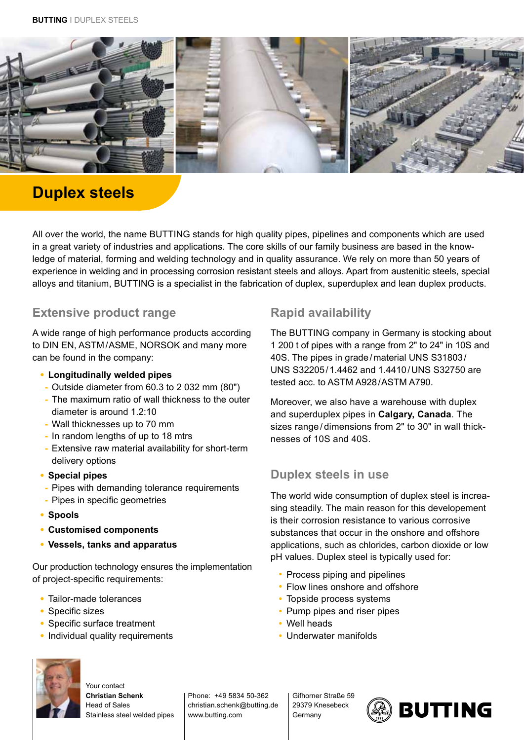

# **Duplex steels**

All over the world, the name BUTTING stands for high quality pipes, pipelines and components which are used in a great variety of industries and applications. The core skills of our family business are based in the knowledge of material, forming and welding technology and in quality assurance. We rely on more than 50 years of experience in welding and in processing corrosion resistant steels and alloys. Apart from austenitic steels, special alloys and titanium, BUTTING is a specialist in the fabrication of duplex, superduplex and lean duplex products.

#### **Extensive product range**

A wide range of high performance products according to DIN EN, ASTM/ASME, NORSOK and many more can be found in the company:

- **• Longitudinally welded pipes**
- **-** Outside diameter from 60.3 to 2 032 mm (80")
- **-** The maximum ratio of wall thickness to the outer diameter is around 1.2:10
- **-** Wall thicknesses up to 70 mm
- **-** In random lengths of up to 18 mtrs
- **-** Extensive raw material availability for short-term delivery options
- **• Special pipes**
- **-** Pipes with demanding tolerance requirements
- **-** Pipes in specific geometries
- **• Spools**
- **• Customised components**
- **• Vessels, tanks and apparatus**

Our production technology ensures the implementation of project-specific requirements:

- **•** Tailor-made tolerances
- **•** Specific sizes
- **•** Specific surface treatment
- **•** Individual quality requirements

## **Rapid availability**

The BUTTING company in Germany is stocking about 1 200 t of pipes with a range from 2ʺ to 24ʺ in 10S and 40S. The pipes in grade/material UNS S31803/ UNS S32205/1.4462 and 1.4410/UNS S32750 are tested acc. to ASTM A928/ASTM A790.

Moreover, we also have a warehouse with duplex and superduplex pipes in **Calgary, Canada**. The sizes range/dimensions from 2" to 30" in wall thicknesses of 10S and 40S.

### **Duplex steels in use**

The world wide consumption of duplex steel is increasing steadily. The main reason for this developement is their corrosion resistance to various corrosive substances that occur in the onshore and offshore applications, such as chlorides, carbon dioxide or low pH values. Duplex steel is typically used for:

- Process piping and pipelines
- Flow lines onshore and offshore
- Topside process systems
- Pump pipes and riser pipes
- Well heads
- Underwater manifolds



Your contact **Christian Schenk** Head of Sales Stainless steel welded pipes

Phone: +49 5834 50-362 christian.schenk@butting.de www.butting.com

Gifhorner Straße 59 29379 Knesebeck **Germany**